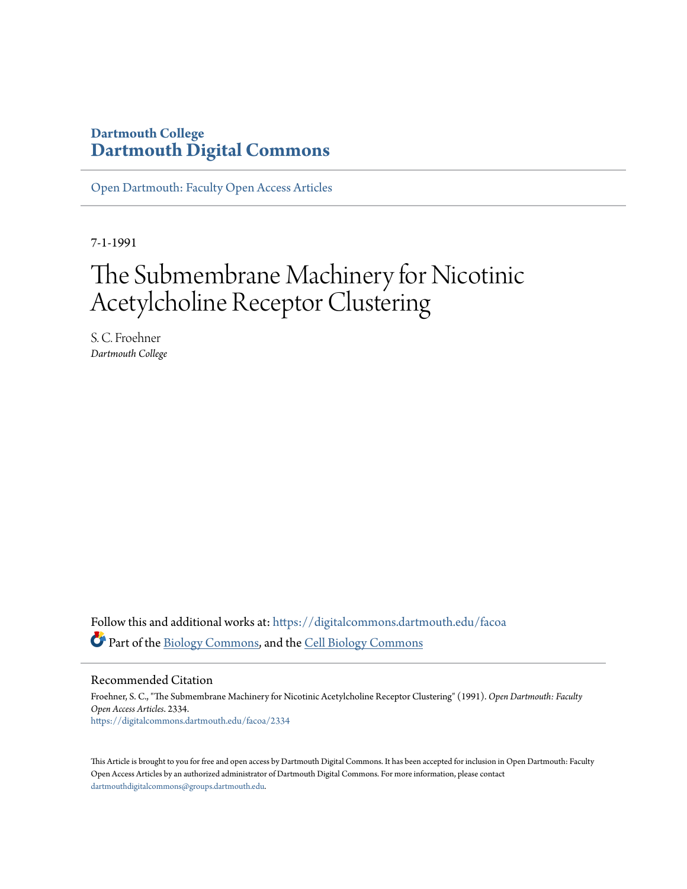### **Dartmouth College [Dartmouth Digital Commons](https://digitalcommons.dartmouth.edu?utm_source=digitalcommons.dartmouth.edu%2Ffacoa%2F2334&utm_medium=PDF&utm_campaign=PDFCoverPages)**

[Open Dartmouth: Faculty Open Access Articles](https://digitalcommons.dartmouth.edu/facoa?utm_source=digitalcommons.dartmouth.edu%2Ffacoa%2F2334&utm_medium=PDF&utm_campaign=PDFCoverPages)

7-1-1991

# The Submembrane Machinery for Nicotinic Acetylcholine Receptor Clustering

S. C. Froehner *Dartmouth College*

Follow this and additional works at: [https://digitalcommons.dartmouth.edu/facoa](https://digitalcommons.dartmouth.edu/facoa?utm_source=digitalcommons.dartmouth.edu%2Ffacoa%2F2334&utm_medium=PDF&utm_campaign=PDFCoverPages) Part of the [Biology Commons,](http://network.bepress.com/hgg/discipline/41?utm_source=digitalcommons.dartmouth.edu%2Ffacoa%2F2334&utm_medium=PDF&utm_campaign=PDFCoverPages) and the [Cell Biology Commons](http://network.bepress.com/hgg/discipline/10?utm_source=digitalcommons.dartmouth.edu%2Ffacoa%2F2334&utm_medium=PDF&utm_campaign=PDFCoverPages)

Recommended Citation

Froehner, S. C., "The Submembrane Machinery for Nicotinic Acetylcholine Receptor Clustering" (1991). *Open Dartmouth: Faculty Open Access Articles*. 2334. [https://digitalcommons.dartmouth.edu/facoa/2334](https://digitalcommons.dartmouth.edu/facoa/2334?utm_source=digitalcommons.dartmouth.edu%2Ffacoa%2F2334&utm_medium=PDF&utm_campaign=PDFCoverPages)

This Article is brought to you for free and open access by Dartmouth Digital Commons. It has been accepted for inclusion in Open Dartmouth: Faculty Open Access Articles by an authorized administrator of Dartmouth Digital Commons. For more information, please contact [dartmouthdigitalcommons@groups.dartmouth.edu.](mailto:dartmouthdigitalcommons@groups.dartmouth.edu)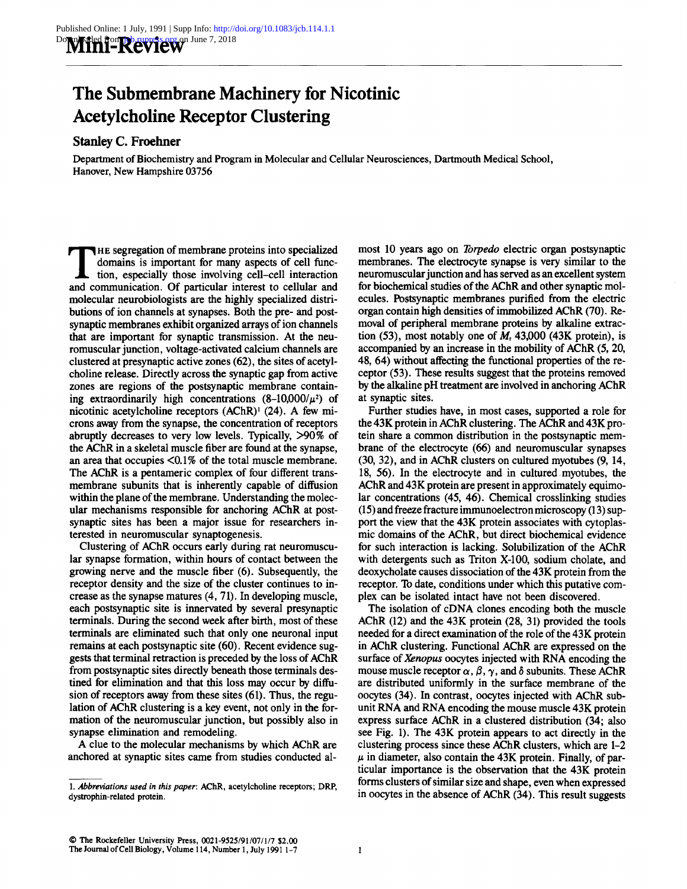## The Submembrane Machinery for Nicotinic Acetylcholine Receptor Clustering

### Stanley C. Froehner

Department of Biochemistry and Program in Molecular and Cellular Neurosciences, Dartmouth Medical School, Hanover, New Hampshire 03756

The segregation of membrane proteins into specialized<br>domains is important for many aspects of cell func-<br>tion, especially those involving cell-cell interaction<br>and communication. Of particular interest to cellular and<br>int HE segregation of membrane proteins into specialized domains is important for many aspects of cell function, especially those involving cell-cell interaction molecular neurobiologists are the highly specialized distributions of ion channels at synapses. Both the pre- and postsynaptic membranes exhibit organized arrays of ion channels that are important for synaptic transmission. At the neuromuscular junction, voltage-activated calcium channels are clustered at presynaptic active zones  $(62)$ , the sites of acetylcholine release. Directly across the synaptic gap from active zones are regions of the postsynaptic membrane containing extraordinarily high concentrations  $(8-10,000/\mu^2)$  of nicotinic acetylcholine receptors (AChR)' (24). A few microns away from the synapse, the concentration of receptors abruptly decreases to very low levels. Typically,  $>90\%$  of the AChR in <sup>a</sup> skeletal muscle fiber are found at the synapse, an area that occupies <0.1% of the total muscle membrane. The AChR is a pentameric complex of four different transmembrane subunits that is inherently capable of diffusion within the plane of the membrane. Understanding the molecular mechanisms responsible for anchoring AChR at postsynaptic sites has been a major issue for researchers interested in neuromuscular synaptogenesis.

Clustering of AChR occurs early during rat neuromuscular synapse formation, within hours of contact between the growing nerve and the muscle fiber (6) . Subsequently, the receptor density and the size of the cluster continues to increase as the synapse matures (4, 71) . In developing muscle, each postsynaptic site is innervated by several presynaptic terminals. During the second week after birth, most of these terminals are eliminated such that only one neuronal input remains at each postsynaptic site (60) . Recent evidence suggests that terminal retraction is preceded by the loss of AChR from postsynaptic sites directly beneath those terminals destined for elimination and that this loss may occur by diffusion of receptors away from these sites (61) . Thus, the regulation of AChR clustering is a key event, not only in the formation of the neuromuscular junction, but possibly also in synapse elimination and remodeling.

A clue to the molecular mechanisms by which AChR are anchored at synaptic sites came from studies conducted almost 10 years ago on Torpedo electric organ postsynaptic membranes. The electrocyte synapse is very similar to the neuromuscular junction and has served as anexcellent system for biochemical studies of the AChR and other synaptic molecules. Postsynaptic membranes purified from the electric organ contain high densities of immobilized AChR (70) . Removal of peripheral membrane proteins by alkaline extraction (53), most notably one of  $M<sub>r</sub>$  43,000 (43K protein), is accompanied by an increase in the mobility of AChR (5, 20, 48, 64) without affecting the functional properties of the receptor (53). These results suggest that the proteins removed by the alkaline pH treatment are involved in anchoring AChR at synaptic sites.

Further studies have, in most cases, supported a role for the  $43K$  protein in AChR clustering. The AChR and  $43K$  protein share <sup>a</sup> common distribution in the postsynaptic membrane of the electrocyte (66) and neuromuscular synapses (30, 32), and in AChR clusters on cultured myotubes (9, 14, 18, 56) . In the electrocyte and in cultured myotubes, the AChR and 43K protein are present in approximately equimolar concentrations (45, 46) . Chemical crosslinking studies (15) and freeze fracture immunoelectron microscopy (13) support the view that the 43K protein associates with cytoplasmic domains of the AChR, but direct biochemical evidence for such interaction is lacking. Solubilization of the AChR with detergents such as Triton X-100, sodium cholate, and deoxycholate causes dissociation of the 43K protein from the receptor. To date, conditions under which this putative complex can be isolated intact have not been discovered.

The isolation of cDNA clones encoding both the muscle AChR (12) and the 43K protein (28, 31) provided the tools needed for a direct examination of the role of the 43K protein in AChR clustering. Functional AChR are expressed on the surface of Xenopus oocytes injected with RNA encoding the mouse muscle receptor  $\alpha$ ,  $\beta$ ,  $\gamma$ , and  $\delta$  subunits. These AChR are distributed uniformly in the surface membrane of the oocytes (34) . In contrast, oocytes injected with AChR subunit RNA and RNA encoding the mouse muscle 43K protein express surface AChR in a clustered distribution (34; also see Fig. 1). The 43K protein appears to act directly in the clustering process since these AChR clusters, which are 1-2  $\mu$  in diameter, also contain the 43K protein. Finally, of particular importance is the observation that the 43K protein forms clusters of similar size and shape, even when expressed in oocytes in the absence of AChR (34). This result suggests

<sup>1.</sup> Abbreviations used in this paper: AChR, acetylcholine receptors; DRP, dystrophin-related protein.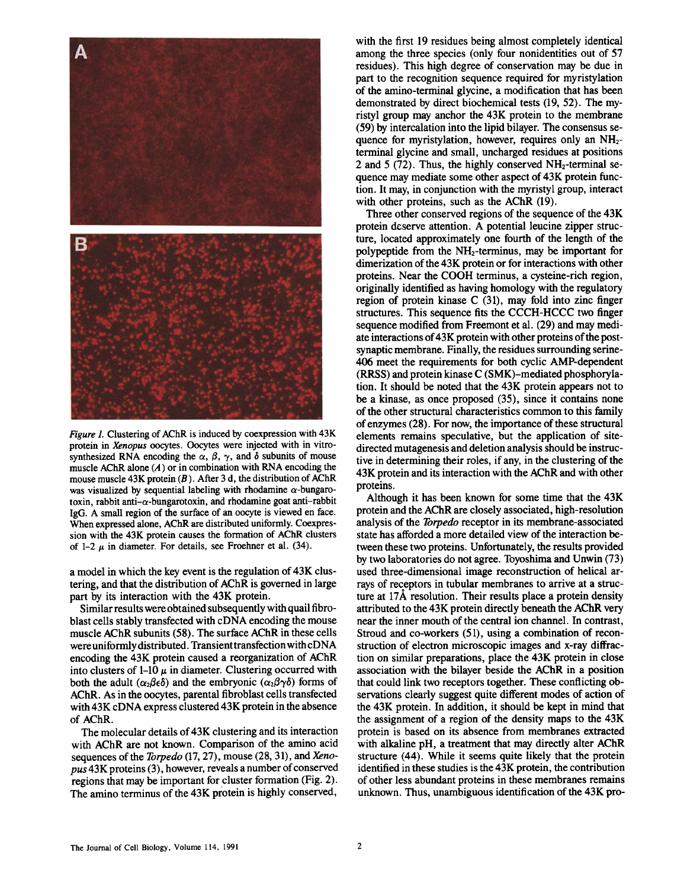

Figure 1. Clustering of AChR is induced by coexpression with 43K protein in Xenopus oocytes . Oocytes were injected with in vitrosynthesized RNA encoding the  $\alpha$ ,  $\beta$ ,  $\gamma$ , and  $\delta$  subunits of mouse muscle AChR alone  $(A)$  or in combination with RNA encoding the mouse muscle  $43K$  protein (B). After 3 d, the distribution of AChR was visualized by sequential labeling with rhodamine  $\alpha$ -bungarotoxin, rabbit anti- $\alpha$ -bungarotoxin, and rhodamine goat anti-rabbit IgG. A small region of the surface of an oocyte is viewed en face. When expressed alone, AChR are distributed uniformly. Coexpression with the 43K protein causes the formation of AChR clusters of 1-2  $\mu$  in diameter. For details, see Froehner et al. (34).

<sup>a</sup> model in which the key event is the regulation of 43K clustering, and that the distribution of AChR is governed in large part by its interaction with the 43K protein.

Similar results were obtained subsequently with quail fibroblast cells stably transfected with cDNA encoding the mouse muscle AChR subunits (58) . The surface AChR in these cells were uniformly distributed. Transient transfection with cDNA encoding the 43K protein caused <sup>a</sup> reorganization of AChR into clusters of  $1-10 \mu$  in diameter. Clustering occurred with both the adult  $(\alpha_2\beta_5\delta)$  and the embryonic  $(\alpha_2\beta\gamma\delta)$  forms of AChR. As in the oocytes, parental fibroblast cells transfected with 43K cDNA express clustered 43K protein in the absence of AChR.

The molecular details of 43K clustering and its interaction with AChR are not known. Comparison of the amino acid sequences of the *Torpedo*  $(17, 27)$ , mouse  $(28, 31)$ , and *Xeno*pus43K proteins (3), however, reveals <sup>a</sup> number of conserved regions that may be important for cluster formation (Fig. 2). The amino terminus of the 43K protein is highly conserved,

with the first 19 residues being almost completely identical among the three species (only four nonidentities out of 57 residues). This high degree of conservation may be due in part to the recognition sequence required for myristylation of the amino-terminal glycine, a modification that has been demonstrated by direct biochemical tests (19, 52) . The myristyl group may anchor the 43K protein to the membrane (59) by intercalation into the lipid bilayer. The consensus sequence for myristylation, however, requires only an NH<sub>2</sub>terminal glycine and small, uncharged residues at positions 2 and 5 (72). Thus, the highly conserved  $NH_2$ -terminal sequence may mediate some other aspect of 43K protein function . It may, in conjunction with the myristyl group, interact with other proteins, such as the AChR (19).

Three other conserved regions of the sequence of the 43K protein deserve attention . A potential leucine zipper structure, located approximately one fourth of the length of the polypeptide from the NH<sub>2</sub>-terminus, may be important for dimerization of the 43K protein or for interactions with other proteins. Near the COOH terminus, a cysteine-rich region, originally identified as having homology with the regulatory region of protein kinase C (31), may fold into zinc finger structures. This sequence fits the CCCH-HCCC two finger sequence modified from Freemont et al.  $(29)$  and may mediate interactions of43K protein with other proteins of the postsynaptic membrane. Finally, the residues surrounding serine-406 meet the requirements for both cyclic AMP-dependent (RRSS) and protein kinase C (SMK)-mediated phosphorylation . It should be noted that the 43K protein appears not to be a kinase, as once proposed (35), since it contains none of the other structural characteristics common to this family of enzymes (28) . For now, the importance of these structural elements remains speculative, but the application of sitedirected mutagenesis and deletion analysis should be instructive in determining their roles, if any, in the clustering of the 43K protein and its interaction with the AChR and with other proteins.

Although it has been known for some time that the 43K protein and the AChR are closely associated, high-resolution analysis of the *Torpedo* receptor in its membrane-associated state has afforded a more detailed view of the interaction between these two proteins. Unfortunately, the results provided by two laboratories do not agree. Toyoshima and Unwin (73) used three-dimensional image reconstruction of helical arrays of receptors in tubular membranes to arrive at a structure at 17Å resolution. Their results place a protein density attributed to the 43K protein directly beneath the AChR very near the inner mouth of the central ion channel. In contrast, Stroud and co-workers (51), using a combination of reconstruction of electron microscopic images and x-ray diffraction on similar preparations, place the 43K protein in close association with the bilayer beside the AChR in a position that could link two receptors together. These conflicting observations clearly suggest quite different modes of action of the 43K protein. In addition, it should be kept in mind that the assignment of a region of the density maps to the 43K protein is based on its absence from membranes extracted with alkaline pH, a treatment that may directly alter AChR structure (44) . While it seems quite likely that the protein identified in these studies is the 43K protein, the contribution of other less abundant proteins in these membranes remains unknown. Thus, unambiguous identification of the 43K pro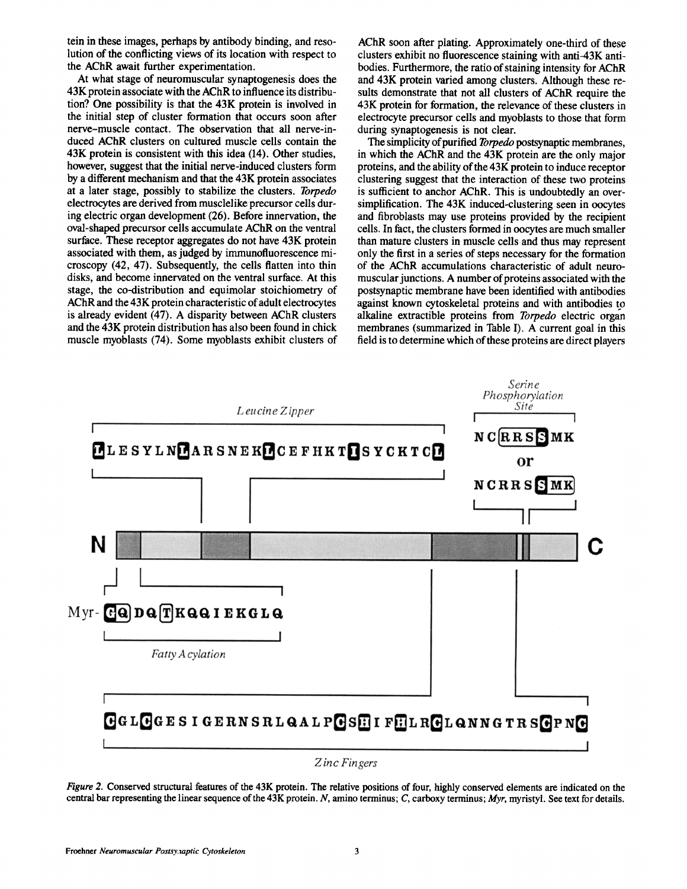tein in these images, perhaps by antibody binding, and resolution of the conflicting views of its location with respect to the AChR await further experimentation.

At what stage of neuromuscular synaptogenesis does the 43K protein associate with the AChR to influence its distribution? One possibility is that the 43K protein is involved in the initial step of cluster formation that occurs soon after nerve-muscle contact. The observation that all nerve-induced AChR clusters on cultured muscle cells contain the 43K protein is consistent with this idea (14) . Other studies, however, suggest that the initial nerve-induced clusters form by a different mechanism and that the 43K protein associates at a later stage, possibly to stabilize the clusters. Torpedo electrocytes are derived from musclelike precursor cells during electric organ development (26) . Before innervation, the oval-shaped precursor cells accumulate AChR on the ventral surface. These receptor aggregates do not have 43K protein associated with them, as judged by immunofluorescence microscopy (42, 47) . Subsequently, the cells flatten into thin disks, and become innervated on the ventral surface . At this stage, the co-distribution and equimolar stoichiometry of AChR and the 43K protein characteristic of adult electrocytes is already evident (47) . A disparity between AChR clusters and the 43K protein distribution has also been found in chick muscle myoblasts (74) . Some myoblasts exhibit clusters of AChR soon after plating. Approximately one-third of these clusters exhibit no fluorescence staining with anti-43K antibodies. Furthermore, the ratio of staining intensity for AChR and 43K protein varied among clusters. Although these results demonstrate that not all clusters of AChR require the 43K protein for formation, the relevance of these clusters in electrocyte precursor cells and myoblasts to those that form during synaptogenesis is not clear.

The simplicity of purified *Torpedo* postsynaptic membranes, in which the AChR and the 43K protein are the only major proteins, and the ability of the 43K protein to induce receptor clustering suggest that the interaction of these two proteins is sufficient to anchor AChR. This is undoubtedly an oversimplification. The 43K induced-clustering seen in oocytes and fibroblasts may use proteins provided by the recipient cells. In fact, the clusters formed in oocytes are much smaller than mature clusters in muscle cells and thus may represent only the first in a series of steps necessary for the formation of the AChR accumulations characteristic of adult neuromuscular junctions. A number of proteins associated with the postsynaptic membrane have been identified with antibodies against known cytoskeletal proteins and with antibodies to alkaline extractible proteins from Torpedo electric organ membranes (summarized in Table I). A current goal in this field is to determine which of these proteins are direct players



Figure 2. Conserved structural features of the 43K protein. The relative positions of four, highly conserved elements are indicated on the central bar representing the linear sequence of the  $43K$  protein. N, amino terminus; C, carboxy terminus; Myr, myristyl. See text for details.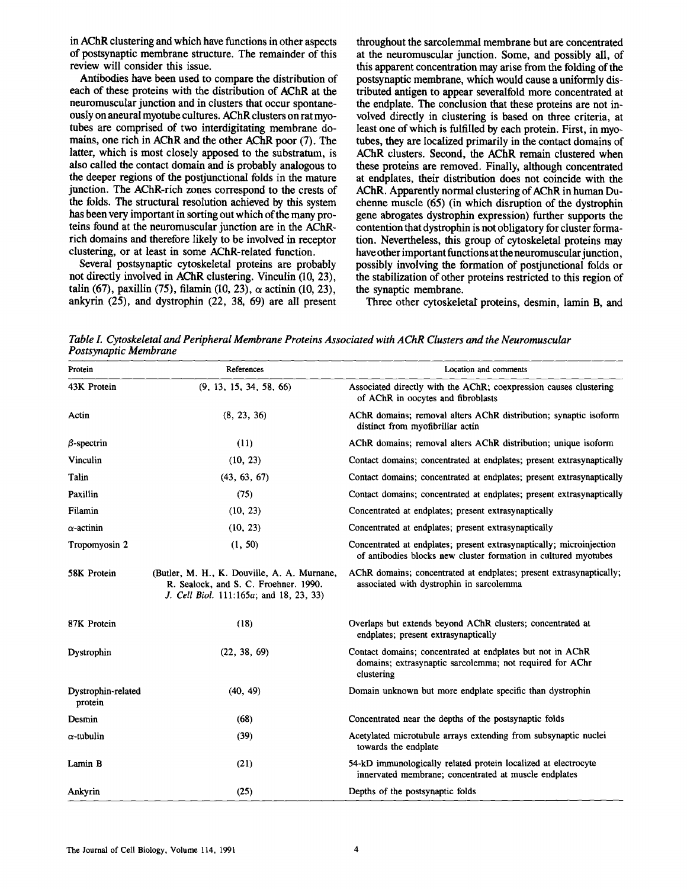in AChR clustering and which have functions in other aspects of postsynaptic membrane structure. The remainder of this review will consider this issue.

Antibodies have been used to compare the distribution of each of these proteins with the distribution of AChR at the neuromuscular junction and in clusters that occur spontaneouslyon aneural myotube cultures . AChR clusters onrat myotubes are comprised of two interdigitating membrane domains, one rich in AChR and the other AChR poor (7). The latter, which is most closely apposed to the substratum, is also called the contact domain and is probably analogous to the deeper regions of the postjunctional folds in the mature junction. The AChR-rich zones correspond to the crests of the folds. The structural resolution achieved by this system has been very important in sorting out which of the many proteins found at the neuromuscular junction are in the AChRrich domains and therefore likely to be involved in receptor clustering, or at least in some AChR-related function.

Several postsynaptic cytoskeletal proteins are probably not directly involved in AChR clustering. Vinculin (10, 23), talin (67), paxillin (75), filamin (10, 23),  $\alpha$  actinin (10, 23), ankyrin (25), and dystrophin (22, 38, 69) are all present

throughout the sarcolemmal membrane but are concentrated at the neuromuscular junction. Some, and possibly all, of this apparent concentration may arise from the folding of the postsynaptic membrane, which would cause a uniformly distributed antigen to appear severalfold more concentrated at the endplate. The conclusion that these proteins are not involved directly in clustering is based on three criteria, at least one of which is fulfilled by each protein. First, in myotubes, they are localized primarily in the contact domains of AChR clusters. Second, the AChR remain clustered when these proteins are removed. Finally, although concentrated at endplates, their distribution does not coincide with the AChR. Apparently normal clustering of AChR in human Duchenne muscle (65) (in which disruption of the dystrophin gene abrogates dystrophin expression) further supports the contention that dystrophin is not obligatory for cluster formation. Nevertheless, this group of cytoskeletal proteins may have other important functions at the neuromuscular junction, possibly involving the formation of postjunctional folds or the stabilization of other proteins restricted to this region of the synaptic membrane.

Three other cytoskeletat proteins, desmin, lamin B, and

Table I. Cytoskeletal and Peripheral Membrane Proteins Associated with AChR Clusters and the Neuromuscular Postsynaptic Membrane

| Protein                       | References                                                                                                                      | Location and comments                                                                                                                   |
|-------------------------------|---------------------------------------------------------------------------------------------------------------------------------|-----------------------------------------------------------------------------------------------------------------------------------------|
| 43K Protein                   | (9, 13, 15, 34, 58, 66)                                                                                                         | Associated directly with the AChR; coexpression causes clustering<br>of AChR in oocytes and fibroblasts                                 |
| Actin                         | (8, 23, 36)                                                                                                                     | AChR domains; removal alters AChR distribution; synaptic isoform<br>distinct from myofibrillar actin                                    |
| $\beta$ -spectrin             | (11)                                                                                                                            | AChR domains; removal alters AChR distribution; unique isoform                                                                          |
| Vinculin                      | (10, 23)                                                                                                                        | Contact domains; concentrated at endplates; present extrasynaptically                                                                   |
| Talin                         | (43, 63, 67)                                                                                                                    | Contact domains; concentrated at endplates; present extrasynaptically                                                                   |
| Paxillin                      | (75)                                                                                                                            | Contact domains; concentrated at endplates; present extrasynaptically                                                                   |
| Filamin                       | (10, 23)                                                                                                                        | Concentrated at endplates; present extrasynaptically                                                                                    |
| $\alpha$ -actinin             | (10, 23)                                                                                                                        | Concentrated at endplates; present extrasynaptically                                                                                    |
| Tropomyosin 2                 | (1, 50)                                                                                                                         | Concentrated at endplates; present extrasynaptically; microinjection<br>of antibodies blocks new cluster formation in cultured myotubes |
| 58K Protein                   | (Butler, M. H., K. Douville, A. A. Murnane,<br>R. Sealock, and S. C. Froehner. 1990.<br>J. Cell Biol. 111:165a; and 18, 23, 33) | AChR domains; concentrated at endplates; present extrasynaptically;<br>associated with dystrophin in sarcolemma                         |
| 87K Protein                   | (18)                                                                                                                            | Overlaps but extends beyond AChR clusters; concentrated at<br>endplates; present extrasynaptically                                      |
| Dystrophin                    | (22, 38, 69)                                                                                                                    | Contact domains; concentrated at endplates but not in AChR<br>domains; extrasynaptic sarcolemma; not required for AChr<br>clustering    |
| Dystrophin-related<br>protein | (40, 49)                                                                                                                        | Domain unknown but more endplate specific than dystrophin                                                                               |
| Desmin                        | (68)                                                                                                                            | Concentrated near the depths of the postsynaptic folds                                                                                  |
| $\alpha$ -tubulin             | (39)                                                                                                                            | Acetylated microtubule arrays extending from subsynaptic nuclei<br>towards the endplate                                                 |
| Lamin B                       | (21)                                                                                                                            | 54-kD immunologically related protein localized at electrocyte<br>innervated membrane; concentrated at muscle endplates                 |
| Ankyrin                       | (25)                                                                                                                            | Depths of the postsynaptic folds                                                                                                        |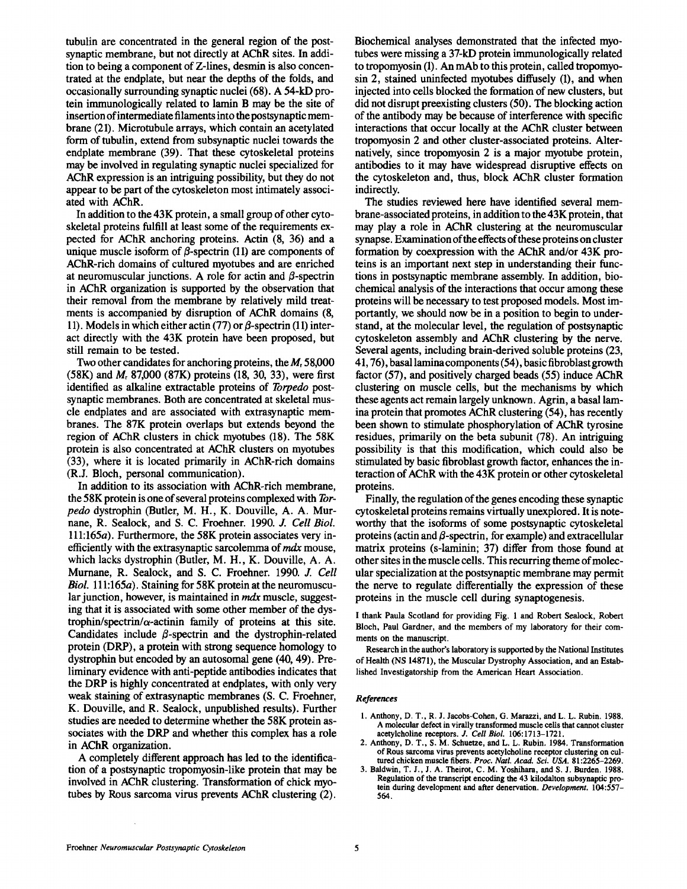tubulin are concentrated in the general region of the postsynaptic membrane, but not directly at AChR sites. In addition to being a component of Z-lines, desmin is also concentrated at the endplate, but near the depths of the folds, and occasionally surrounding synaptic nuclei (68). A 54-kD protein immunologically related to lamin B may be the site of insertion of intermediate filaments into the postsynaptic membrane (21) . Microtubule arrays, which contain an acetylated form of tubulin, extend from subsynaptic nuclei towards the endplate membrane (39). That these cytoskeletal proteins may be involved in regulating synaptic nuclei specialized for AChR expression is an intriguing possibility, but they do not appear to be part of the cytoskeleton most intimately associated with AChR.

In addition to the  $43K$  protein, a small group of other cytoskeletal proteins fulfill at least some of the requirements expected for AChR anchoring proteins. Actin (8, 36) and <sup>a</sup> unique muscle isoform of  $\beta$ -spectrin (11) are components of AChR-rich domains of cultured myotubes and are enriched at neuromuscular junctions. A role for actin and  $\beta$ -spectrin in AChR organization is supported by the observation that their removal from the membrane by relatively mild treatments is accompanied by disruption of AChR domains (8, 11). Models in which either actin (77) or  $\beta$ -spectrin (11) interact directly with the 43K protein have been proposed, but still remain to be tested.

Two other candidates for anchoring proteins, the  $M<sub>r</sub>$  58,000 (58K) and  $M_r$  87,000 (87K) proteins (18, 30, 33), were first identified as alkaline extractable proteins of Torpedo postsynaptic membranes. Both are concentrated at skeletal muscle endplates and are associated with extrasynaptic membranes. The 87K protein overlaps but extends beyond the region of AChR clusters in chick myotubes (18) . The 58K protein is also concentrated at AChR clusters on myotubes (33), where it is located primarily in AChR-rich domains (R.J. Bloch, personal communication) .

In addition to its association with AChR-rich membrane, the 58K protein is one of several proteins complexed with Torpedo dystrophin (Butler, M. H., K. Douville, A. A. Murnane, R. Sealock, and S. C. Froehner. 1990. J. Cell Biol.  $111:165a$ . Furthermore, the 58K protein associates very inefficiently with the extrasynaptic sarcolemma of  $mdx$  mouse, which lacks dystrophin (Butler, M. H., K. Douville, A. A. Murnane, R. Sealock, and S. C. Froehner. 1990. J. Cell Biol. 111:165a). Staining for 58K protein at the neuromuscular junction, however, is maintained in *mdx* muscle, suggesting that it is associated with some other member of the dystrophin/spectrin/ $\alpha$ -actinin family of proteins at this site. Candidates include  $\beta$ -spectrin and the dystrophin-related protein (DRP), a protein with strong sequence homology to dystrophin but encoded by an autosomal gene (40, 49) . Preliminary evidence with anti-peptide antibodies indicates that the DRP is highly concentrated at endplates, with only very weak staining of extrasynaptic membranes (S. C. Froehner, K. Douville, and R. Sealock, unpublished results). Further studies are needed to determine whether the 58K protein associates with the DRP and whether this complex has a role in AChR organization.

A completely different approach has led to the identification of a postsynaptic tropomyosin-like protein that may be involved in AChR clustering. Transformation of chick myotubes by Rous sarcoma virus prevents AChR clustering (2) .

Biochemical analyses demonstrated that the infected myotubes were missing a 37-kD protein immunologically related to tropomyosin (1) . An mAb to this protein, called tropomyosin 2, stained uninfected myotubes diffusely (1), and when injected into cells blocked the formation of new clusters, but did not disrupt preexisting clusters (50) . The blocking action of the antibody may be because of interference with specific interactions that occur locally at the AChR cluster between tropomyosin 2 and other cluster-associated proteins. Alternatively, since tropomyosin 2 is a major myotube protein, antibodies to it may have widespread disruptive effects on the cytoskeleton and, thus, block AChR cluster formation indirectly.

The studies reviewed here have identified several membrane-associated proteins, in addition to the43K protein, that may play a role in AChR clustering at the neuromuscular synapse. Examination of the effects of these proteins on cluster formation by coexpression with the AChR and/or 43K proteins is an important next step in understanding their functions in postsynaptic membrane assembly. In addition, biochemical analysis of the interactions that occur among these proteins will be necessary to test proposed models. Most importantly, we should now be in a position to begin to understand, at the molecular level, the regulation of postsynaptic cytoskeleton assembly and AChR clustering by the nerve. Several agents, including brain-derived soluble proteins (23, 41, 76), basallaminacomponents(54), basic fibroblastgrowth factor (57), and positively charged beads (55) induce AChR clustering on muscle cells, but the mechanisms by which these agents act remain largely unknown . Agrin, a basal lamina protein that promotes AChR clustering (54), has recently been shown to stimulate phosphorylation of AChR tyrosine residues, primarily on the beta subunit (78). An intriguing possibility is that this modification, which could also be stimulated by basic fibroblast growth factor, enhances the interaction of AChR with the 43K protein or other cytoskeletal proteins.

Finally, the regulation of the genes encoding these synaptic cytoskeletal proteins remains virtually unexplored. It is noteworthy that the isoforms of some postsynaptic cytoskeletal proteins (actin and  $\beta$ -spectrin, for example) and extracellular matrix proteins (s-laminin; 37) differ from those found at other sites in the muscle cells. This recurring theme of molecular specialization at the postsynaptic membrane may permit the nerve to regulate differentially the expression of these proteins in the muscle cell during synaptogenesis .

<sup>I</sup> thank Paula Scotland for providing Fig. <sup>1</sup> and Robert Sealock, Robert Bloch, Paul Gardner, and the members of my laboratory for their comments on the manuscript.

Research in the author's laboratory is supported by the National Institutes of Health (NS 14871), the Muscular Dystrophy Association, and an Established Investigatorship from the American Heart Association.

#### References

- 1. Anthony, D. T., R. J. Jacobs-Cohen, G. Marazzi, and L. L. Rubin. 1988. Amolecular defect in virally transformed muscle cells that cannot cluster acetylcholine receptors. J. Cell Biol. 106:1713-1721
- 2. Anthony, D. T., S. M. Schuetze, and L. L. Rubin. <sup>1984</sup> . Transformation of Rous sarcoma virus prevents acetylcholine receptor clustering on cultured chicken muscle fibers. Proc. Natl. Acad. Sci. USA. 81:2265-2269.
- 3. Baldwin, T. J., J. A. Theirot, C. M. Yoshihara, and S. J. Burden. 1988. Regulation of the transcript encoding the 43 kilodalton subsynaptic protein during development and after denervation. Development. 104:557- 564.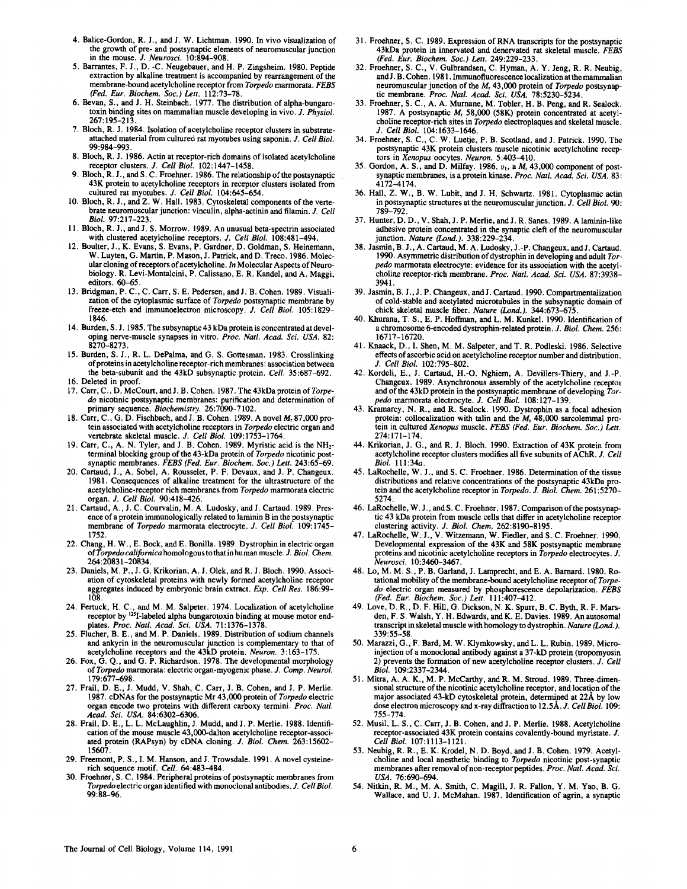- 4. Balice-Gordon, R. J., and J. W. Lichtman. 1990. In vivo visualization of the growth of pre- and postsynaptic elements of neuromuscular junction in the mouse. J. Neurosci. 10:894-908.
- 5. Barrantes, F. J., D. C. Neugebauer, and H. P. Zingsheim. 1980. Peptide extraction by alkaline treatment is accompanied by rearrangement of the membrane-bound acetylcholine receptor from Torpedo marmorata . FEBS (Fed. Eur. Biochem. Soc.) Lett. 112:73-78.
- 6. Bevan, S., and J. H. Steinbach. 1977. The distribution of alpha-bungarotoxin binding sites on mammalian muscle developing in vivo. J. Physiol. 267 :195-213
- 7. Bloch, R. J. 1984. Isolation of acetylcholine receptor clusters in substrateattached material from cultured rat myotubes using saponin. J. Cell Biol. 99 :984-993 .
- 8. Bloch, R. J. 1986. Actin at receptor-rich domains of isolated acetylcholine receptor clusters. J. Cell Biol. 102:1447-1458.
- 9. Bloch, R. J., and S. C. Froehner. 1986. The relationship of the postsynaptic 43K protein to acetylcholine receptors in receptor clusters isolated from cultured rat myotubes. J. Cell Biol. 104:645-654.
- 10. Bloch, R. J., and Z. W. Hall. 1983. Cytoskeletal components of the vertebrate neuromuscular junction: vinculin, alpha-actinin and filamin. J. Cell Biol. 97:217-223.
- 11. Bloch, R. J., and J. S. Morrow. 1989. An unusual beta-spectrin associated with clustered acetylcholine receptors. J. Cell Biol. 108:481-494.
- 12. Boulter, J., K. Evans, S. Evans, P. Gardner, D. Goldman, S. Heinemann, W. Luyten, G. Martin, P. Mason, J. Patrick, and D. Treco. 1986. Molecular cloning of receptors of acetylcholine. In Molecular Aspects of Neurobiology . R. Levi-Montalcini, P. Calissano, E. R. Kandel, and A. Maggi, editors. 60-65.
- 13. Bridgman, P. C., C. Carr, S. E. Pedersen, and J. B. Cohen. 1989. Visualization of the cytoplasmic surface of Torpedo postsynaptic membrane by freeze-etch and immunoelectron microscopy. J. Cell Biol. 105:1829-1846 .
- 14. Burden, S.J. 1985. The subsynaptic 43 kDa protein is concentrated at developing nerve-muscle synapses in vitro. Proc. Natl. Acad. Sci. USA. 82: 8270-8273 .
- 15. Burden, S. J., R. L. DePalma, and G. S. Gottesman. 1983. Crosslinking of proteins in acetylcholine receptor-rich membranes: association between the beta-subunit and the 43kD subsynaptic protein. Cell. 35:687-692.
- 16. Deleted in proof.
- 17. Carr, C., D. McCourt, and J. B. Cohen. 1987. The 43kDa protein of Torpe do nicotinic postsynaptic membranes: purification and determination of primary sequence. *Biochemistry*. 26:7090-7102.
- 18. Carr, C., G. D. Fischbach, and J. B. Cohen. 1989. A novel M, 87,000 protein associated with acetylcholine receptors in Torpedo electric organ and vertebrate skeletal muscle. J. Cell Biol. 109:1753-1764.
- 19. Carr, C., A. N. Tyler, and J. B. Cohen. 1989. Myristic acid is the NH<sub>2</sub>terminal blocking group of the 43-kDa protein of Torpedo nicotinic postsynaptic membranes. FEBS (Fed. Eur. Biochem. Soc.) Lett. 243:65-69.
- 20. Cartaud, J., A. Sobel, A. Rousselet, P. F. Devaux, and J. P. Changeux. 1981 . Consequences of alkaline treatment for the ultrastructure of the acetylcholine-receptor rich membranes from Torpedo marmorata electric
- organ. J. Cell Biol. 90:418-426.<br>21. Cartaud, A., J. C. Courvalin, M. A. Ludosky, and J. Cartaud. 1989. Presence of a protein immunologically related to laminin B in the postsynaptic membrane of Torpedo marmorata electrocyte. J. Cell Biol. 109:1745-1752 .
- 22. Chang, H. W., E. Bock, and E. Bonilla. 1989. Dystrophin in electric organ of Torpedo californica homologous to that in human muscle. J. Biol. Chem. 264 :20831-20834 .
- 23. Daniels, M. P., J. G. Krikorian, A. J. Olek, and R. J. Bloch. 1990. Association of cytoskeletal proteins with newly formed acetylcholine receptor aggregates induced by embryonic brain extract. Exp. Cell Res. 186:99-<br>108
- 108.<br>24. Fertuck, H. C., and M. M. Salpeter. 1974. Localization of acetylcholine<br>receptor by <sup>125</sup>I-labeled alpha bungarotoxin binding at mouse motor endplates. Proc. Natl. Acad. Sci. USA. 71:1376-1378.
- 25. Flucher, B. E., and M. P. Daniels. 1989. Distribution of sodium channels and ankyrin in the neuromuscular junction is complementary to that of acetylcholine receptors and the 43kD protein. Neuron. 3:163-175.
- 26. Fox, G. Q., and G. P. Richardson. 1978. The developmental morphology of Torpedo marmorata: electric organ-myogenic phase . J. Comp. Neurol. 179:677-698 .
- 27. Frail, D. E., J. Mudd, V. Shah, C. Carr, J. B. Cohen, and J. P. Merlie. 1987 . cDNAs for the postsynaptic Mr 43,000 protein of Torpedo electric organ encode two proteins with different carboxy termini. Proc. Natl.
- Acad. Sci. USA. 84:6302-6306.<br>28. Frail, D. E., L. L. McLaughlin, J. Mudd, and J. P. Merlie. 1988. Identification of the mouse muscle 43,000-dalton acetylcholine receptor-associated protein (RAPsyn) by cDNA cloning. J. Biol. Chem. 263:15602-15607 .
- 29. Freemont, P. S., I. M. Hanson, and J. Trowsdale. 1991. A novel cysteinerich sequence motif. Cell. 64:483-484.
- 30. Froehner, <sup>S</sup> . C. <sup>1984</sup> . Peripheral proteins of postsynaptic membranes from Torpedo electric organ identified with monoclonal antibodies . J. Cell Biol. 99 :88-96
- 31. Froehner, S. C. 1989. Expression of RNA transcripts for the postsynaptic 43kDa protein in innervated and denervated rat skeletal muscle. FEBS (Fed. Eur. Biochem. Soc.) Lett. 249:229-233.
- 32. Froehner, S. C., V. Gulbrandsen, C. Hyman, A. Y. Jeng, R. R. Neubig, and J. B. Cohen. 1981. Immunofluorescence localization at the mammalian neuromuscular junction of the  $M_r$  43,000 protein of *Torpedo* postsynaptic membrane. Proc. Natl. Acad. Sci. USA. 78:5230-5234
- 33. Froehner, S. C., A. A. Murnane, M. Tobler, H. B. Peng, and R. Sealock. 1987. A postsynaptic  $M<sub>r</sub>$  58,000 (58K) protein concentrated at acetylcholine receptor-rich sites in Torpedo electroplaques and skeletal muscle . J. Cell Biol. 104:1633-1646.
- 34. Froehner, S. C., C. W. Luetje, P. B. Scotland, and J. Patrick. 1990. The postsynaptic 43K protein clusters muscle nicotinic acetylcholine receptors in Xenopus oocytes. Neuron. 5:403-410.
- 35. Gordon, A. S., and D. Milfay. 1986.  $v_1$ , a  $M_r$  43,000 component of postsynaptic membranes, is a protein kinase. Proc. Natl. Acad. Sci. USA. 83: 4172-4174 .
- 36. Hall, Z. W., B. W. Lubit, and J. H. Schwartz. 1981. Cytoplasmic actin in postsynaptic structures at the neuromuscular junction.  $J$ . Cell Biol. 90:<br>789–792.
- 789-792 . <sup>37</sup> . Hunter, D. D., V . Shah, <sup>J</sup> . P. Merlie, and <sup>J</sup> . R. Sanes . <sup>1989</sup> . A laminin-like adhesive protein concentrated in the synaptic cleft of the neuromuscular
- junction. *Nature (Lond.).* 338:229-234.<br>38. Jasmin, B. J., A. Cartaud, M. A. Ludosky, J.-P. Changeux, and J. Cartaud.<br>1000. Annual regional distribution is described in a substitute of the U.S. 1990 . Asymmetric distribution of dystrophin in developing and adult Torpedo marmorata electrocyte: evidence for its association with the acetylcholine receptor-rich membrane. Proc. Natl. Acad. Sci. USA. 87:3938-3941 .
- 39. Jasmin, B. J., J. P. Changeux, and J. Cartaud. 1990. Compartmentalization of cold-stable and acetylated microtubules in the subsynaptic domain of chick skeletal muscle fiber. Nature (Lond.). 344:673-675.
- <sup>40</sup> . Khurana, T. S., E. P. Hoffman, and L. M. Kunkel . <sup>1990</sup> . Identification of a chromosome 6-encoded dystrophin-related protein. J. Biol. Chem. 256: 16717-16720 .
- 41. Knaack, D., I. Shen, M. M. Salpeter, and T. R. Podleski. 1986. Selective effects of ascorbic acid on acetylcholine receptor number and distribution. J. Cell Biol. 102:795-802.
- 42. Kordeli, E., J. Cartaud, H.-O. Nghiem, A. Devillers-Thiery, and J.-P. Changeux . 1989 . Asynchronous assembly of the acetylcholine receptor and of the 43kD protein in the postsynaptic membrane of developing Torpedo marmorata electrocyte. J. Cell Biol. 108:127-139.
- <sup>43</sup> . Kramarcy, N. R., and R. Sealock . <sup>1990</sup> . Dystrophin as a focal adhesion protein: collocalization with talin and the  $M_1$  48,000 sarcolemmal protein in cultured Xenopus muscle. FEBS (Fed. Eur. Biochem. Soc.) Lett. 274 :171-174 .
- 44. Krikorian, J. G., and R. J. Bloch. 1990. Extraction of 43K protein from acetylcholine receptor clusters modifies all five subunits of AChR. J. Cell Biol. 111 :34a .
- 45. LaRochelle, W. J., and S. C. Froehner. 1986. Determination of the tissue distributions and relative concentrations of the postsynaptic 43kDa protein and the acetylcholine receptor in *Torpedo. J. Biol. Chem.* 261:5270-5274,
- 46. LaRochelle, W. J., and S. C. Froehner. 1987. Comparison of the postsynaptic 43 kDa protein from muscle cells that differ in acetylcholine receptor
- clustering activity. J. Biol. Chem. 262:8190-8195.<br>47. LaRochelle, W. J., V. Witzemann, W. Fiedler, and S. C. Froehner. 1990. Developmental expression of the 43K and 58K postsynaptic membrane proteins and nicotinic acetylcholine receptors in *Torpedo* electrocytes. J.<br>Neurosci. 10:3460–3467.
- 48. Lo, M. M. S., P. B. Garland, J. Lamprecht, and E. A. Barnard. 1980. Rotational mobility of the membrane-bound acetylcholine receptor of Torpedo electric organ measured by phosphorescence depolarization. FEBS (Fed. Eur. Biochem. Soc.) Lett. 111:407-412.
- <sup>49</sup> . Love, D. R., D. F. Hill, G. Dickson, N. K. Spurr, B. C . Byth, R. F. Marsden, F. S. Walsh, Y. H. Edwards, and K. E. Davies . <sup>1989</sup> . An autosomal transcript in skeletal muscle with homology to dystrophin. Nature (Lond.). 339 :55-58 .
- 50. Marazzi, G., F. Bard, M. W. Klymkowsky, and L. L. Rubin. 1989. Microinjection of a monoclonal antibody against <sup>a</sup> 37-kD protein (tropomyosin 2) prevents the formation of new acetylcholine receptor clusters. J. Cell Biol. 109 :2337-2344
- 51. Mitra, A. A. K., M. P. McCarthy, and R. M. Stroud. 1989. Three-dimensional structure of the nicotinic acetylcholine receptor, and location of the major associated 43-kD cytoskeletal protein, determined at 22A by low dose electron microscopy and x-ray diffraction to 12.5Å. J. Cell Biol. 109: 755-774
- 52. Musil, L. S., C. Carr, J. B. Cohen, and J. P. Merlie. 1988. Acetylcholine receptor-associated 43K protein contains covalently-bound myristate. J. Cell Biol. 107:1113-1121.
- 53. Neubig, R. R., E. K. Krodel, N. D. Boyd, and J. B. Cohen. 1979. Acetylcholine and local anesthetic binding to Torpedo nicotinic post-synaptic membranes after removal of non-receptor peptides. Proc. Natl. Acad. Sci. USA. 76:690-694.
- 54. Nitkin, R. M., M. A. Smith, C. Magill, J. R. Fallon, Y. M. Yao, B. G. Wallace, and U. J. McMahan. 1987. Identification of agrin, a synaptic